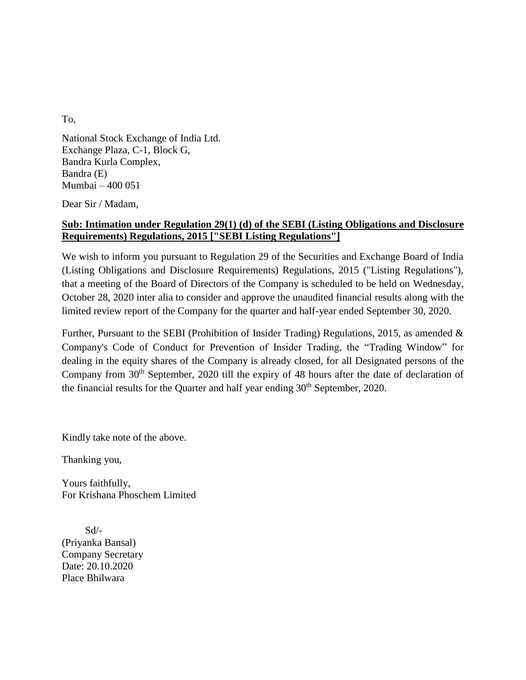To,

National Stock Exchange of India Ltd. Exchange Plaza, C-1, Block G, Bandra Kurla Complex, Bandra (E) Mumbai – 400 051

Dear Sir / Madam,

## **Sub: Intimation under Regulation 29(1) (d) of the SEBI (Listing Obligations and Disclosure Requirements) Regulations, 2015 ["SEBI Listing Regulations"]**

We wish to inform you pursuant to Regulation 29 of the Securities and Exchange Board of India (Listing Obligations and Disclosure Requirements) Regulations, 2015 ("Listing Regulations"), that a meeting of the Board of Directors of the Company is scheduled to be held on Wednesday, October 28, 2020 inter alia to consider and approve the unaudited financial results along with the limited review report of the Company for the quarter and half-year ended September 30, 2020.

Further, Pursuant to the SEBI (Prohibition of Insider Trading) Regulations, 2015, as amended & Company's Code of Conduct for Prevention of Insider Trading, the "Trading Window" for dealing in the equity shares of the Company is already closed, for all Designated persons of the Company from 30<sup>th</sup> September, 2020 till the expiry of 48 hours after the date of declaration of the financial results for the Quarter and half year ending  $30<sup>th</sup>$  September, 2020.

Kindly take note of the above.

Thanking you,

Yours faithfully, For Krishana Phoschem Limited

 Sd/- (Priyanka Bansal) Company Secretary Date: 20.10.2020 Place Bhilwara